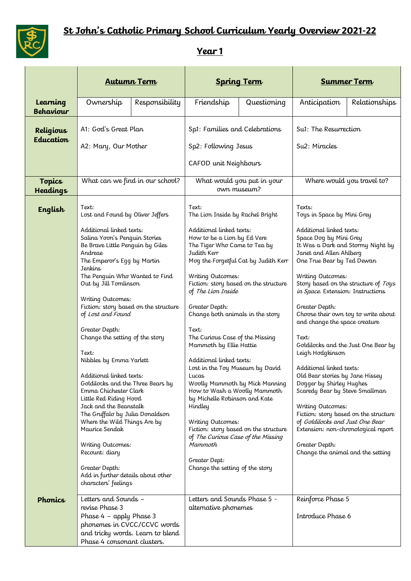

## **St John's Catholic Primary School Curriculum Yearly Overview 2021-22**

## **Year 1**

|                              | <b>Autumn Term</b>                                                                                                                                                                                                                                                                                                                                                                                                                                                                                                                                                                                                                                                                                                                                                                               |                | <b>Spring Term</b>                                                                                                                                                                                                                                                                                                                                                                                                                                                                                                                                                                                                                                                                                                                                                    |             | <b>Summer Term</b>                                                                                                                                                                                                                                                                                                                                                                                                                                                                                                                                                                                                                                                                                                                                                                                                 |               |
|------------------------------|--------------------------------------------------------------------------------------------------------------------------------------------------------------------------------------------------------------------------------------------------------------------------------------------------------------------------------------------------------------------------------------------------------------------------------------------------------------------------------------------------------------------------------------------------------------------------------------------------------------------------------------------------------------------------------------------------------------------------------------------------------------------------------------------------|----------------|-----------------------------------------------------------------------------------------------------------------------------------------------------------------------------------------------------------------------------------------------------------------------------------------------------------------------------------------------------------------------------------------------------------------------------------------------------------------------------------------------------------------------------------------------------------------------------------------------------------------------------------------------------------------------------------------------------------------------------------------------------------------------|-------------|--------------------------------------------------------------------------------------------------------------------------------------------------------------------------------------------------------------------------------------------------------------------------------------------------------------------------------------------------------------------------------------------------------------------------------------------------------------------------------------------------------------------------------------------------------------------------------------------------------------------------------------------------------------------------------------------------------------------------------------------------------------------------------------------------------------------|---------------|
| Learning<br><b>Behaviour</b> | Ownership                                                                                                                                                                                                                                                                                                                                                                                                                                                                                                                                                                                                                                                                                                                                                                                        | Responsibility | Friendship                                                                                                                                                                                                                                                                                                                                                                                                                                                                                                                                                                                                                                                                                                                                                            | Questioning | Anticipation                                                                                                                                                                                                                                                                                                                                                                                                                                                                                                                                                                                                                                                                                                                                                                                                       | Relationships |
| Religious<br>Education       | A1: God's Great Plan<br>A2: Mary, Our Mother                                                                                                                                                                                                                                                                                                                                                                                                                                                                                                                                                                                                                                                                                                                                                     |                | Sp1: Families and Celebrations<br>Sp2: Following Jesus<br>CAFOD unit Neighbours                                                                                                                                                                                                                                                                                                                                                                                                                                                                                                                                                                                                                                                                                       |             | Su1: The Resurrection<br>Su2: Miracles                                                                                                                                                                                                                                                                                                                                                                                                                                                                                                                                                                                                                                                                                                                                                                             |               |
| Topics<br><b>Headings</b>    | What can we find in our school?                                                                                                                                                                                                                                                                                                                                                                                                                                                                                                                                                                                                                                                                                                                                                                  |                | What would you put in your<br>own museum?                                                                                                                                                                                                                                                                                                                                                                                                                                                                                                                                                                                                                                                                                                                             |             |                                                                                                                                                                                                                                                                                                                                                                                                                                                                                                                                                                                                                                                                                                                                                                                                                    |               |
| English                      | Text:<br>Lost and Found by Oliver Jeffers<br>Additional linked texts:<br>Salina Yoon's Penguin Stories<br>Be Brave Little Penquin by Giles<br>Andreae<br>The Emperor's Egg by Martin<br>Jenkins<br>The Penguin Who Wanted to Find<br>Out by Jill Tomlinson<br>Writing Outcomes:<br>Fiction: story based on the structure<br>of Lost and Found<br>Greater Depth:<br>Change the setting of the story<br>Text:<br>Nibbles by Emma Yarlett<br>Additional linked texts:<br>Goldilocks and the Three Bears by<br>Emma Chichester Clark<br>Little Red Riding Hood<br>Jack and the Beanstalk<br>The Gruffalo by Julia Donaldson<br>Where the Wild Things Are by<br>Maurice Sendak<br>Writing Outcomes:<br>Recount: diary<br>Greater Depth:<br>Add in further details about other<br>characters' feelings |                | Text:<br>The Lion Inside by Rachel Bright<br>Additional linked texts:<br>How to be a Lion by Ed Vere<br>The Tiger Who Came to Tea by<br>Judith Kerr<br>Mog the Forgetful Cat by Judith Kerr<br>Writing Outcomes:<br>Fiction: story based on the structure<br>of The Lion Inside<br>Greater Depth:<br>Change both animals in the story<br>Text:<br>The Curious Case of the Missing<br>Mammoth by Ellie Hattie<br>Additional linked texts:<br>Lost in the Toy Museum by David<br>Lucas<br>Woolly Mammoth by Mick Manning<br>How to Wash a Woolly Mammoth<br>by Michelle Robinson and Kate<br>Hindley<br>Writing Outcomes:<br>Fiction: story based on the structure<br>of The Curious Case of the Missing<br>Mammoth<br>Greater Dept:<br>Change the setting of the story |             | Where would you travel to?<br>Texts:<br>Toys in Space by Mini Grey<br>Additional linked texts:<br>Space Dog by Mini Grey<br>It Was a Dark and Stormy Night by<br>Janet and Allen Ahlberg<br>One True Bear by Ted Dewan<br>Writing Outcomes:<br>Story based on the structure of Toys<br>in Space. Extension: Instructions<br>Greater Depth:<br>Choose their own toy to write about<br>and change the space creature<br>Text:<br>Goldilocks and the Just One Bear by<br>Leigh Hodgkinson<br>Additional linked texts:<br>Old Bear stories by Jane Hissey<br>Dogger by Shirley Hughes<br>Scaredy Bear by Steve Smallman<br>Writing Outcomes:<br>Fiction: story based on the structure<br>of Goldilocks and Just One Bear<br>Extension: non-chronological report<br>Greater Depth:<br>Change the animal and the setting |               |
| Phonics                      | Letters and Sounds -<br>revise Phase 3<br>Phase 4 - apply Phase 3<br>phonemes in CVCC/CCVC words<br>and tricky words. Learn to blend<br>Phase 4 consonant clusters.                                                                                                                                                                                                                                                                                                                                                                                                                                                                                                                                                                                                                              |                | Letters and Sounds Phase 5 -<br>alternative phonemes                                                                                                                                                                                                                                                                                                                                                                                                                                                                                                                                                                                                                                                                                                                  |             | Reinforce Phase 5<br>Introduce Phase 6                                                                                                                                                                                                                                                                                                                                                                                                                                                                                                                                                                                                                                                                                                                                                                             |               |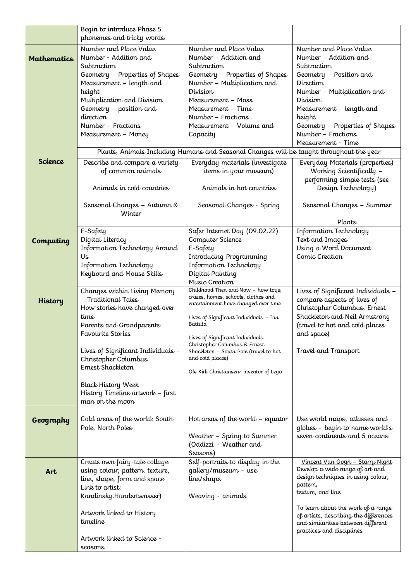|                    | Begin to introduce Phase 5<br>phonemes and tricky words.                                 |                                                                           |                                                                              |  |  |  |  |
|--------------------|------------------------------------------------------------------------------------------|---------------------------------------------------------------------------|------------------------------------------------------------------------------|--|--|--|--|
|                    | Number and Place Value<br>Number - Addition and                                          | Number and Place Value<br>Number - Addition and                           | Number and Place Value<br>Number - Addition and                              |  |  |  |  |
| <b>Mathematics</b> | Subtraction                                                                              | Subtraction                                                               | Subtraction                                                                  |  |  |  |  |
|                    | Geometry - Properties of Shapes                                                          | Geometry - Properties of Shapes                                           | Geometry - Position and                                                      |  |  |  |  |
|                    | Measurement - length and                                                                 | Number - Multiplication and                                               | Direction                                                                    |  |  |  |  |
|                    | height                                                                                   | Division                                                                  | Number - Multiplication and                                                  |  |  |  |  |
|                    | Multiplication and Division<br>Geometry - position and                                   | Measurement - Mass<br>Measurement - Time                                  | Division<br>Measurement – length and                                         |  |  |  |  |
|                    | direction                                                                                | Number - Fractions                                                        | height                                                                       |  |  |  |  |
|                    | Number - Fractions                                                                       | Measurement - Volume and                                                  | Geometry - Properties of Shapes                                              |  |  |  |  |
|                    | Measurement - Money                                                                      | Capacity                                                                  | Number - Fractions                                                           |  |  |  |  |
|                    | Measurement - Time                                                                       |                                                                           |                                                                              |  |  |  |  |
| Science            | Plants, Animals Including Humans and Seasonal Changes will be taught throughout the year |                                                                           |                                                                              |  |  |  |  |
|                    | Describe and compare a variety<br>of common animals                                      | Everyday materials (investigate<br>items in your museum)                  | Everyday Materials (properties)<br>Working Scientifically -                  |  |  |  |  |
|                    |                                                                                          |                                                                           | performing simple tests (see                                                 |  |  |  |  |
|                    | Animals in cold countries                                                                | Animals in hot countries                                                  | Design Technology)                                                           |  |  |  |  |
|                    | Seasonal Changes - Autumn &                                                              | Seasonal Changes - Spring                                                 | Seasonal Changes - Summer                                                    |  |  |  |  |
|                    | Winter                                                                                   |                                                                           | Plants                                                                       |  |  |  |  |
|                    | E-Safety                                                                                 | Safer Internet Day (09.02.22)                                             | Information Technology                                                       |  |  |  |  |
| Computing          | Digital Literacy                                                                         | Computer Science                                                          | Text and Images                                                              |  |  |  |  |
|                    | Information Technology Around                                                            | E-Safety                                                                  | Using a Word Document                                                        |  |  |  |  |
|                    | Us<br>Information Technology                                                             | Introducing Programming<br>Information Technology                         | Comic Creation                                                               |  |  |  |  |
|                    | Keyboard and Mouse Skills                                                                | Digital Painting                                                          |                                                                              |  |  |  |  |
|                    |                                                                                          | Music Creation                                                            |                                                                              |  |  |  |  |
|                    | Changes within Living Memory                                                             | Childhood Then and Now - how toys,<br>crazes, homes, schools, clothes and | Lives of Significant Individuals -                                           |  |  |  |  |
| <b>History</b>     | - Traditional Tales                                                                      | entertainment have changed over time                                      | compare aspects of lives of                                                  |  |  |  |  |
|                    | How stories have changed over<br>time                                                    | Lives of Significant Individuals – Ibn                                    | Christopher Columbus, Ernest<br>Shackleton and Neil Armstrong                |  |  |  |  |
|                    | Parents and Grandparents                                                                 | Battuta                                                                   | (travel to hot and cold places                                               |  |  |  |  |
|                    | Favourite Stories                                                                        | Lives of Significant Individuals                                          | and space)                                                                   |  |  |  |  |
|                    | Lives of Significant Individuals -                                                       | Christopher Columbus & Ernest                                             | Travel and Transport                                                         |  |  |  |  |
|                    | Christopher Columbus                                                                     | Shackleton - South Pole (travel to hot<br>and cold places)                |                                                                              |  |  |  |  |
|                    | Ernest Shackleton                                                                        | Ole Kirk Christiansen-inventor of Lego                                    |                                                                              |  |  |  |  |
|                    |                                                                                          |                                                                           |                                                                              |  |  |  |  |
|                    | <b>Black History Week</b><br>History Timeline artwork - first                            |                                                                           |                                                                              |  |  |  |  |
|                    | man on the moon                                                                          |                                                                           |                                                                              |  |  |  |  |
|                    |                                                                                          |                                                                           |                                                                              |  |  |  |  |
| Geography          | Cold areas of the world: South<br>Pole, North Poles                                      | Hot areas of the world $-$ equator                                        | Use world maps, atlasses and<br>globes - begin to name world's               |  |  |  |  |
|                    |                                                                                          | Weather - Spring to Summer                                                | seven continents and 5 oceans                                                |  |  |  |  |
|                    |                                                                                          | (Oddizzi – Weather and                                                    |                                                                              |  |  |  |  |
|                    |                                                                                          | Seasons)                                                                  |                                                                              |  |  |  |  |
|                    | Create own fairy-tale collage<br>using colour, pattern, texture,                         | Self-portraits to display in the<br>gallery/museum - use                  | Vincent Van Gogh - Starry Night<br>Develop a wide range of art and           |  |  |  |  |
| Art                | line, shape, form and space                                                              | line/shape                                                                | design techniques in using colour,                                           |  |  |  |  |
|                    | Link to artist:                                                                          |                                                                           | pattern,<br>texture, and line                                                |  |  |  |  |
|                    | Kandinsky.Hundertwasser)                                                                 | Weaving - animals                                                         |                                                                              |  |  |  |  |
|                    | Artwork linked to History                                                                |                                                                           | To learn about the work of a range                                           |  |  |  |  |
|                    | timeline                                                                                 |                                                                           | of artists, describing the differences<br>and similarities between different |  |  |  |  |
|                    |                                                                                          |                                                                           | practices and disciplines                                                    |  |  |  |  |
|                    | Artwork linked to Science -<br>seasons                                                   |                                                                           |                                                                              |  |  |  |  |